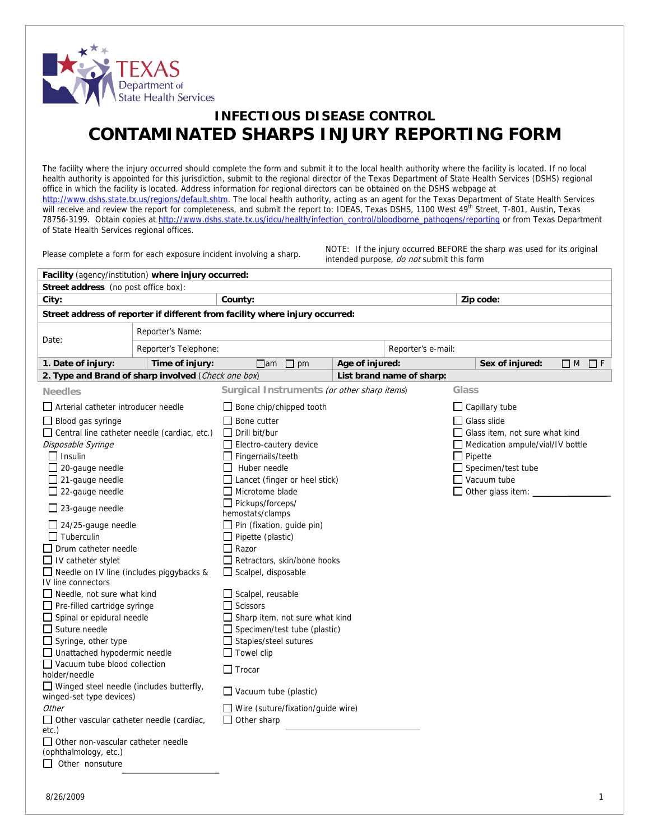

## **INFECTIOUS DISEASE CONTROL CONTAMINATED SHARPS INJURY REPORTING FORM**

The facility where the injury occurred should complete the form and submit it to the local health authority where the facility is located. If no local health authority is appointed for this jurisdiction, submit to the regional director of the Texas Department of State Health Services (DSHS) regional office in which the facility is located. Address information for regional directors can be obtained on the DSHS webpage at [http://www.dshs.state.tx.us/regions/default.shtm.](http://www.dshs.state.tx.us/regions/default.shtm) The local health authority, acting as an agent for the Texas Department of State Health Services will receive and review the report for completeness, and submit the report to: IDEAS, Texas DSHS, 1100 West 49<sup>th</sup> Street, T-801, Austin, Texas 78756-3199. Obtain copies at [http://www.dshs.state.tx.us/idcu/health/infection\\_control/bloodborne\\_pathogens/reporting](http://www.dshs.state.tx.us/idcu/health/infection_control/bloodborne_pathogens/reporting) or from Texas Department of State Health Services regional offices.

Please complete a form for each exposure incident involving a sharp. NOTE: If the injury occurred BEFORE the sharp was used for its original intended purpose, do not submit this form

| Facility (agency/institution) where injury occurred:                         |                                             |                 |                           |                                       |                          |                      |  |  |  |
|------------------------------------------------------------------------------|---------------------------------------------|-----------------|---------------------------|---------------------------------------|--------------------------|----------------------|--|--|--|
| Street address (no post office box):                                         |                                             |                 |                           |                                       |                          |                      |  |  |  |
| City:                                                                        | County:                                     | Zip code:       |                           |                                       |                          |                      |  |  |  |
| Street address of reporter if different from facility where injury occurred: |                                             |                 |                           |                                       |                          |                      |  |  |  |
| Reporter's Name:<br>Date:                                                    |                                             |                 |                           |                                       |                          |                      |  |  |  |
|                                                                              | Reporter's Telephone:                       |                 |                           |                                       | Reporter's e-mail:       |                      |  |  |  |
| 1. Date of injury:<br>Time of injury:                                        | $\Box$ pm<br>$\Box$ am                      | Age of injured: |                           |                                       |                          | $\Box$ M<br>$\Box$ F |  |  |  |
| 2. Type and Brand of sharp involved (Check one box)                          |                                             |                 | List brand name of sharp: |                                       |                          |                      |  |  |  |
| <b>Needles</b>                                                               | Surgical Instruments (or other sharp items) |                 |                           | Glass                                 |                          |                      |  |  |  |
| □ Arterial catheter introducer needle                                        | Bone chip/chipped tooth                     |                 |                           | $\Box$ Capillary tube                 |                          |                      |  |  |  |
| $\Box$ Blood gas syringe                                                     | Bone cutter                                 |                 |                           | ∐ Glass slide                         |                          |                      |  |  |  |
| $\Box$ Central line catheter needle (cardiac, etc.)                          | Drill bit/bur                               |                 |                           | $\Box$ Glass item, not sure what kind |                          |                      |  |  |  |
| Disposable Syringe                                                           | Electro-cautery device                      |                 |                           | Medication ampule/vial/IV bottle      |                          |                      |  |  |  |
| $\Box$ Insulin                                                               | Fingernails/teeth                           |                 |                           |                                       | Pipette                  |                      |  |  |  |
| $\Box$ 20-gauge needle                                                       | Huber needle                                |                 |                           | $\Box$ Specimen/test tube             |                          |                      |  |  |  |
| $\Box$ 21-gauge needle                                                       | Lancet (finger or heel stick)               |                 |                           |                                       | $\Box$ Vacuum tube       |                      |  |  |  |
| $\Box$ 22-gauge needle                                                       | Microtome blade                             |                 |                           |                                       | $\Box$ Other glass item: |                      |  |  |  |
| $\Box$ 23-gauge needle                                                       | Pickups/forceps/                            |                 |                           |                                       |                          |                      |  |  |  |
|                                                                              | hemostats/clamps                            |                 |                           |                                       |                          |                      |  |  |  |
| 24/25-gauge needle                                                           | $\Box$ Pin (fixation, guide pin)            |                 |                           |                                       |                          |                      |  |  |  |
| $\Box$ Tuberculin                                                            | Pipette (plastic)                           |                 |                           |                                       |                          |                      |  |  |  |
| $\Box$ Drum catheter needle                                                  | $\Box$ Razor                                |                 |                           |                                       |                          |                      |  |  |  |
| $\Box$ IV catheter stylet                                                    | Retractors, skin/bone hooks                 |                 |                           |                                       |                          |                      |  |  |  |
| □ Needle on IV line (includes piggybacks &<br>IV line connectors             | $\Box$ Scalpel, disposable                  |                 |                           |                                       |                          |                      |  |  |  |
| □ Needle, not sure what kind                                                 | Scalpel, reusable                           |                 |                           |                                       |                          |                      |  |  |  |
| $\Box$ Pre-filled cartridge syringe                                          | <b>Scissors</b>                             |                 |                           |                                       |                          |                      |  |  |  |
| $\Box$ Spinal or epidural needle                                             | Sharp item, not sure what kind              |                 |                           |                                       |                          |                      |  |  |  |
| $\Box$ Suture needle                                                         | $\Box$ Specimen/test tube (plastic)         |                 |                           |                                       |                          |                      |  |  |  |
| $\Box$ Syringe, other type                                                   | Staples/steel sutures                       |                 |                           |                                       |                          |                      |  |  |  |
| □ Unattached hypodermic needle                                               | $\Box$ Towel clip                           |                 |                           |                                       |                          |                      |  |  |  |
| $\Box$ Vacuum tube blood collection                                          |                                             |                 |                           |                                       |                          |                      |  |  |  |
| holder/needle                                                                | $\Box$ Trocar                               |                 |                           |                                       |                          |                      |  |  |  |
| $\Box$ Winged steel needle (includes butterfly,<br>winged-set type devices)  | Vacuum tube (plastic)                       |                 |                           |                                       |                          |                      |  |  |  |
| Other                                                                        | Wire (suture/fixation/guide wire)           |                 |                           |                                       |                          |                      |  |  |  |
| $\Box$ Other vascular catheter needle (cardiac,                              | Other sharp                                 |                 |                           |                                       |                          |                      |  |  |  |
| etc.)                                                                        |                                             |                 |                           |                                       |                          |                      |  |  |  |
| Other non-vascular catheter needle                                           |                                             |                 |                           |                                       |                          |                      |  |  |  |
| (ophthalmology, etc.)                                                        |                                             |                 |                           |                                       |                          |                      |  |  |  |
| $\Box$ Other nonsuture                                                       |                                             |                 |                           |                                       |                          |                      |  |  |  |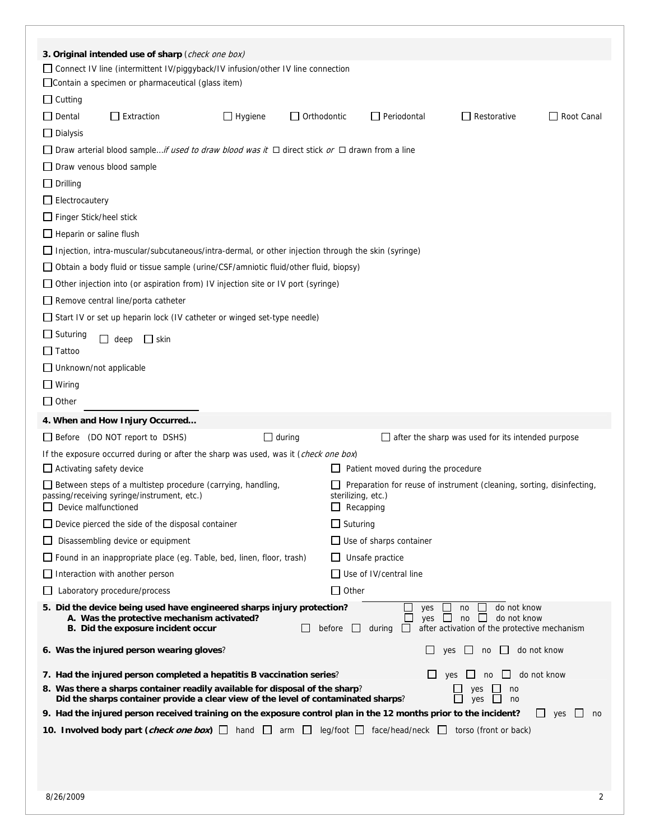|                                                                                                                                                                                                                                                                                                                            | 3. Original intended use of sharp (check one box)<br>□ Connect IV line (intermittent IV/piggyback/IV infusion/other IV line connection                                                                                                                |                |                    |  |                                    |                                                          |                               |
|----------------------------------------------------------------------------------------------------------------------------------------------------------------------------------------------------------------------------------------------------------------------------------------------------------------------------|-------------------------------------------------------------------------------------------------------------------------------------------------------------------------------------------------------------------------------------------------------|----------------|--------------------|--|------------------------------------|----------------------------------------------------------|-------------------------------|
|                                                                                                                                                                                                                                                                                                                            | Contain a specimen or pharmaceutical (glass item)                                                                                                                                                                                                     |                |                    |  |                                    |                                                          |                               |
| $\Box$ Cutting                                                                                                                                                                                                                                                                                                             |                                                                                                                                                                                                                                                       |                |                    |  |                                    |                                                          |                               |
| $\Box$ Dental                                                                                                                                                                                                                                                                                                              | $\Box$ Extraction                                                                                                                                                                                                                                     | $\Box$ Hygiene | $\Box$ Orthodontic |  | $\Box$ Periodontal                 | $\Box$ Restorative                                       | $\Box$ Root Canal             |
| $\Box$ Dialysis                                                                                                                                                                                                                                                                                                            |                                                                                                                                                                                                                                                       |                |                    |  |                                    |                                                          |                               |
|                                                                                                                                                                                                                                                                                                                            | □ Draw arterial blood sample <i>if used to draw blood was it</i> □ direct stick <i>or</i> □ drawn from a line                                                                                                                                         |                |                    |  |                                    |                                                          |                               |
| $\Box$ Draw venous blood sample                                                                                                                                                                                                                                                                                            |                                                                                                                                                                                                                                                       |                |                    |  |                                    |                                                          |                               |
| $\Box$ Drilling                                                                                                                                                                                                                                                                                                            |                                                                                                                                                                                                                                                       |                |                    |  |                                    |                                                          |                               |
| $\Box$ Electrocautery                                                                                                                                                                                                                                                                                                      |                                                                                                                                                                                                                                                       |                |                    |  |                                    |                                                          |                               |
| □ Finger Stick/heel stick                                                                                                                                                                                                                                                                                                  |                                                                                                                                                                                                                                                       |                |                    |  |                                    |                                                          |                               |
| $\Box$ Heparin or saline flush                                                                                                                                                                                                                                                                                             |                                                                                                                                                                                                                                                       |                |                    |  |                                    |                                                          |                               |
|                                                                                                                                                                                                                                                                                                                            | Injection, intra-muscular/subcutaneous/intra-dermal, or other injection through the skin (syringe)                                                                                                                                                    |                |                    |  |                                    |                                                          |                               |
|                                                                                                                                                                                                                                                                                                                            | □ Obtain a body fluid or tissue sample (urine/CSF/amniotic fluid/other fluid, biopsy)                                                                                                                                                                 |                |                    |  |                                    |                                                          |                               |
|                                                                                                                                                                                                                                                                                                                            | $\Box$ Other injection into (or aspiration from) IV injection site or IV port (syringe)                                                                                                                                                               |                |                    |  |                                    |                                                          |                               |
|                                                                                                                                                                                                                                                                                                                            |                                                                                                                                                                                                                                                       |                |                    |  |                                    |                                                          |                               |
|                                                                                                                                                                                                                                                                                                                            | $\Box$ Remove central line/porta catheter<br>$\Box$ Start IV or set up heparin lock (IV catheter or winged set-type needle)                                                                                                                           |                |                    |  |                                    |                                                          |                               |
| $\Box$ Suturing                                                                                                                                                                                                                                                                                                            |                                                                                                                                                                                                                                                       |                |                    |  |                                    |                                                          |                               |
| $\Box$ Tattoo                                                                                                                                                                                                                                                                                                              | $\Box$ skin<br>deep                                                                                                                                                                                                                                   |                |                    |  |                                    |                                                          |                               |
| $\Box$ Unknown/not applicable                                                                                                                                                                                                                                                                                              |                                                                                                                                                                                                                                                       |                |                    |  |                                    |                                                          |                               |
|                                                                                                                                                                                                                                                                                                                            |                                                                                                                                                                                                                                                       |                |                    |  |                                    |                                                          |                               |
| $\Box$ Wiring<br>$\Box$ Other                                                                                                                                                                                                                                                                                              |                                                                                                                                                                                                                                                       |                |                    |  |                                    |                                                          |                               |
|                                                                                                                                                                                                                                                                                                                            |                                                                                                                                                                                                                                                       |                |                    |  |                                    |                                                          |                               |
|                                                                                                                                                                                                                                                                                                                            | 4. When and How Injury Occurred                                                                                                                                                                                                                       |                |                    |  |                                    |                                                          |                               |
|                                                                                                                                                                                                                                                                                                                            | $\Box$ Before (DO NOT report to DSHS)                                                                                                                                                                                                                 | $\Box$ during  |                    |  |                                    | $\Box$ after the sharp was used for its intended purpose |                               |
|                                                                                                                                                                                                                                                                                                                            | If the exposure occurred during or after the sharp was used, was it (check one box)                                                                                                                                                                   |                |                    |  |                                    |                                                          |                               |
| $\Box$ Activating safety device                                                                                                                                                                                                                                                                                            |                                                                                                                                                                                                                                                       |                |                    |  | Patient moved during the procedure |                                                          |                               |
|                                                                                                                                                                                                                                                                                                                            | $\Box$ Between steps of a multistep procedure (carrying, handling,<br>Preparation for reuse of instrument (cleaning, sorting, disinfecting,<br>passing/receiving syringe/instrument, etc.)<br>sterilizing, etc.)<br>Device malfunctioned<br>Recapping |                |                    |  |                                    |                                                          |                               |
|                                                                                                                                                                                                                                                                                                                            | $\Box$ Suturing<br>$\Box$ Device pierced the side of the disposal container                                                                                                                                                                           |                |                    |  |                                    |                                                          |                               |
|                                                                                                                                                                                                                                                                                                                            | Disassembling device or equipment<br>$\Box$ Use of sharps container                                                                                                                                                                                   |                |                    |  |                                    |                                                          |                               |
|                                                                                                                                                                                                                                                                                                                            | Found in an inappropriate place (eg. Table, bed, linen, floor, trash)<br>$\Box$ Unsafe practice                                                                                                                                                       |                |                    |  |                                    |                                                          |                               |
|                                                                                                                                                                                                                                                                                                                            | $\Box$ Interaction with another person<br>Use of IV/central line                                                                                                                                                                                      |                |                    |  |                                    |                                                          |                               |
|                                                                                                                                                                                                                                                                                                                            | Laboratory procedure/process<br>$\Box$ Other                                                                                                                                                                                                          |                |                    |  |                                    |                                                          |                               |
| 5. Did the device being used have engineered sharps injury protection?<br>do not know<br>no<br>yes<br>yes<br>$\mathbf{L}$<br>do not know<br>A. Was the protective mechanism activated?<br>no<br>$\Box$<br>after activation of the protective mechanism<br>B. Did the exposure incident occur<br>before<br>during<br>$\Box$ |                                                                                                                                                                                                                                                       |                |                    |  |                                    |                                                          |                               |
|                                                                                                                                                                                                                                                                                                                            | 6. Was the injured person wearing gloves?                                                                                                                                                                                                             |                |                    |  |                                    | yes<br>no                                                | do not know                   |
|                                                                                                                                                                                                                                                                                                                            | 7. Had the injured person completed a hepatitis B vaccination series?                                                                                                                                                                                 |                |                    |  |                                    | yes<br>no<br>$\mathbf{I}$                                | do not know                   |
| 8. Was there a sharps container readily available for disposal of the sharp?<br>yes<br>no<br>П<br>yes<br>Did the sharps container provide a clear view of the level of contaminated sharps?<br>no                                                                                                                          |                                                                                                                                                                                                                                                       |                |                    |  |                                    |                                                          |                               |
|                                                                                                                                                                                                                                                                                                                            | 9. Had the injured person received training on the exposure control plan in the 12 months prior to the incident?                                                                                                                                      |                |                    |  |                                    |                                                          | $\Box$<br>yes<br>$\Box$<br>no |
|                                                                                                                                                                                                                                                                                                                            | 10. Involved body part (check one box) a hand a arm a leg/foot a face/head/neck a torso (front or back)                                                                                                                                               |                |                    |  |                                    |                                                          |                               |
|                                                                                                                                                                                                                                                                                                                            |                                                                                                                                                                                                                                                       |                |                    |  |                                    |                                                          |                               |
|                                                                                                                                                                                                                                                                                                                            |                                                                                                                                                                                                                                                       |                |                    |  |                                    |                                                          |                               |
|                                                                                                                                                                                                                                                                                                                            |                                                                                                                                                                                                                                                       |                |                    |  |                                    |                                                          |                               |